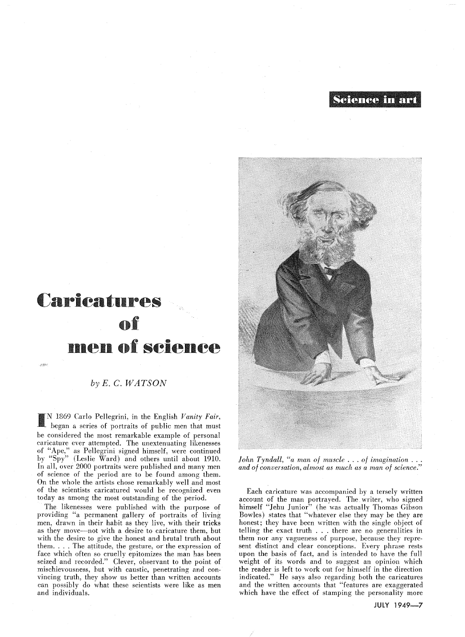~eienee **in Bul** 



*fohn Tyndall, "a man of muscle ... of imagination ... and of conversation, almost as much as a man of science."* 

Each caricature was accompanied by a tersely written account of the man portrayed. The writer, who signed himself "Jehu Junior" (he was actually Thomas Gibson Bowles) states that "whatever else they may be they are honest; they have been written with the single object of telling the exact truth . . . there are no generalities in them nor any vagueness of purpose, because they represent distinct and clear conceptions. Every phrase rests upon the basis of fact, and is intended to have the full weight of its words and to suggest an opinion which the reader is left to work out for himself in the direction indicated." He says also regarding both the caricatures and the written accounts that "features are exaggerated which have the effect of stamping the personality more

## Carieatnres of Dlen of seienee

*by E.* C. *WATSON* 

وأولاي

I N 1869 Carlo Pellegrini, in the English *Vanity Fair,*  began a series of portraits of public men that must be considered the most remarkable example of personal caricature ever attempted. The unextenuating likenesses of "Ape," as Pellegrini signed himself, were continued by "Spy" (Leslie Ward) and others until about 1910. In all, over 2000 portraits were published and many men of science of the period are to be found among them. On the whole the artists chose remarkably well and most of the scientists caricatured would be recognized even today as among the most outstanding of the period.

The likenesses were published with the purpose of providing "a permanent gallery of portraits of living men, drawn in their habit as they live, with their tricks as they move—not with a desire to caricature them, but with the desire to give the honest and brutal truth about them.  $\ldots$ . The attitude, the gesture, or the expression of face which often so cruelly epitomizes the man has been seized and recorded." Clever, observant to the point of mischievousness, but with caustic, penetrating and convincing truth, they show us better than written accounts can possibly do what these scientists were like as men and individuals.